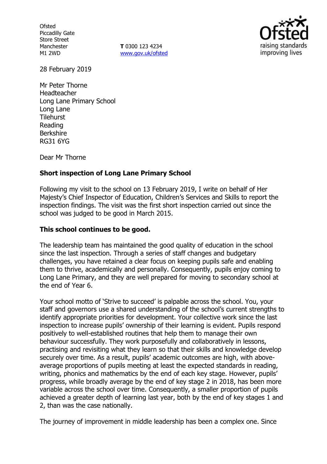**Ofsted** Piccadilly Gate Store Street Manchester M1 2WD

**T** 0300 123 4234 www.gov.uk/ofsted



28 February 2019

Mr Peter Thorne Headteacher Long Lane Primary School Long Lane **Tilehurst** Reading Berkshire RG31 6YG

Dear Mr Thorne

### **Short inspection of Long Lane Primary School**

Following my visit to the school on 13 February 2019, I write on behalf of Her Majesty's Chief Inspector of Education, Children's Services and Skills to report the inspection findings. The visit was the first short inspection carried out since the school was judged to be good in March 2015.

### **This school continues to be good.**

The leadership team has maintained the good quality of education in the school since the last inspection. Through a series of staff changes and budgetary challenges, you have retained a clear focus on keeping pupils safe and enabling them to thrive, academically and personally. Consequently, pupils enjoy coming to Long Lane Primary, and they are well prepared for moving to secondary school at the end of Year 6.

Your school motto of 'Strive to succeed' is palpable across the school. You, your staff and governors use a shared understanding of the school's current strengths to identify appropriate priorities for development. Your collective work since the last inspection to increase pupils' ownership of their learning is evident. Pupils respond positively to well-established routines that help them to manage their own behaviour successfully. They work purposefully and collaboratively in lessons, practising and revisiting what they learn so that their skills and knowledge develop securely over time. As a result, pupils' academic outcomes are high, with aboveaverage proportions of pupils meeting at least the expected standards in reading, writing, phonics and mathematics by the end of each key stage. However, pupils' progress, while broadly average by the end of key stage 2 in 2018, has been more variable across the school over time. Consequently, a smaller proportion of pupils achieved a greater depth of learning last year, both by the end of key stages 1 and 2, than was the case nationally.

The journey of improvement in middle leadership has been a complex one. Since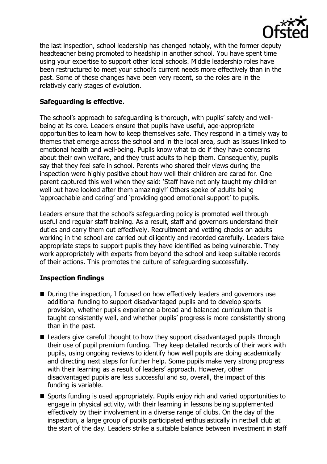

the last inspection, school leadership has changed notably, with the former deputy headteacher being promoted to headship in another school. You have spent time using your expertise to support other local schools. Middle leadership roles have been restructured to meet your school's current needs more effectively than in the past. Some of these changes have been very recent, so the roles are in the relatively early stages of evolution.

# **Safeguarding is effective.**

The school's approach to safeguarding is thorough, with pupils' safety and wellbeing at its core. Leaders ensure that pupils have useful, age-appropriate opportunities to learn how to keep themselves safe. They respond in a timely way to themes that emerge across the school and in the local area, such as issues linked to emotional health and well-being. Pupils know what to do if they have concerns about their own welfare, and they trust adults to help them. Consequently, pupils say that they feel safe in school. Parents who shared their views during the inspection were highly positive about how well their children are cared for. One parent captured this well when they said: 'Staff have not only taught my children well but have looked after them amazingly!' Others spoke of adults being 'approachable and caring' and 'providing good emotional support' to pupils.

Leaders ensure that the school's safeguarding policy is promoted well through useful and regular staff training. As a result, staff and governors understand their duties and carry them out effectively. Recruitment and vetting checks on adults working in the school are carried out diligently and recorded carefully. Leaders take appropriate steps to support pupils they have identified as being vulnerable. They work appropriately with experts from beyond the school and keep suitable records of their actions. This promotes the culture of safeguarding successfully.

# **Inspection findings**

- During the inspection, I focused on how effectively leaders and governors use additional funding to support disadvantaged pupils and to develop sports provision, whether pupils experience a broad and balanced curriculum that is taught consistently well, and whether pupils' progress is more consistently strong than in the past.
- Leaders give careful thought to how they support disadvantaged pupils through their use of pupil premium funding. They keep detailed records of their work with pupils, using ongoing reviews to identify how well pupils are doing academically and directing next steps for further help. Some pupils make very strong progress with their learning as a result of leaders' approach. However, other disadvantaged pupils are less successful and so, overall, the impact of this funding is variable.
- Sports funding is used appropriately. Pupils enjoy rich and varied opportunities to engage in physical activity, with their learning in lessons being supplemented effectively by their involvement in a diverse range of clubs. On the day of the inspection, a large group of pupils participated enthusiastically in netball club at the start of the day. Leaders strike a suitable balance between investment in staff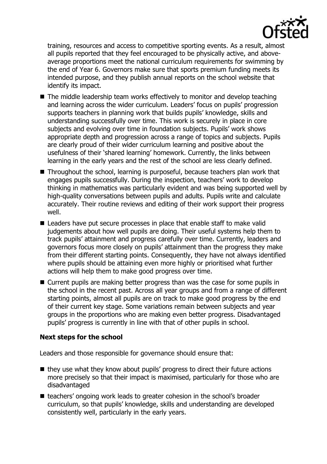

training, resources and access to competitive sporting events. As a result, almost all pupils reported that they feel encouraged to be physically active, and aboveaverage proportions meet the national curriculum requirements for swimming by the end of Year 6. Governors make sure that sports premium funding meets its intended purpose, and they publish annual reports on the school website that identify its impact.

- The middle leadership team works effectively to monitor and develop teaching and learning across the wider curriculum. Leaders' focus on pupils' progression supports teachers in planning work that builds pupils' knowledge, skills and understanding successfully over time. This work is securely in place in core subjects and evolving over time in foundation subjects. Pupils' work shows appropriate depth and progression across a range of topics and subjects. Pupils are clearly proud of their wider curriculum learning and positive about the usefulness of their 'shared learning' homework. Currently, the links between learning in the early years and the rest of the school are less clearly defined.
- Throughout the school, learning is purposeful, because teachers plan work that engages pupils successfully. During the inspection, teachers' work to develop thinking in mathematics was particularly evident and was being supported well by high-quality conversations between pupils and adults. Pupils write and calculate accurately. Their routine reviews and editing of their work support their progress well.
- Leaders have put secure processes in place that enable staff to make valid judgements about how well pupils are doing. Their useful systems help them to track pupils' attainment and progress carefully over time. Currently, leaders and governors focus more closely on pupils' attainment than the progress they make from their different starting points. Consequently, they have not always identified where pupils should be attaining even more highly or prioritised what further actions will help them to make good progress over time.
- Current pupils are making better progress than was the case for some pupils in the school in the recent past. Across all year groups and from a range of different starting points, almost all pupils are on track to make good progress by the end of their current key stage. Some variations remain between subjects and year groups in the proportions who are making even better progress. Disadvantaged pupils' progress is currently in line with that of other pupils in school.

#### **Next steps for the school**

Leaders and those responsible for governance should ensure that:

- $\blacksquare$  they use what they know about pupils' progress to direct their future actions more precisely so that their impact is maximised, particularly for those who are disadvantaged
- teachers' ongoing work leads to greater cohesion in the school's broader curriculum, so that pupils' knowledge, skills and understanding are developed consistently well, particularly in the early years.